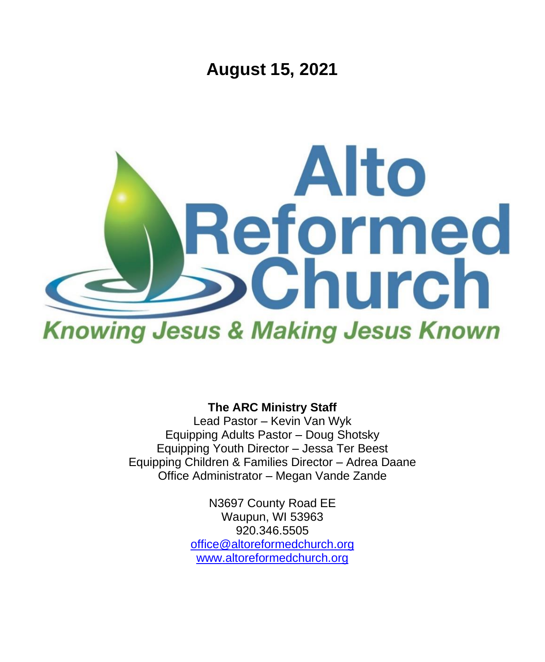**August 15, 2021**



**The ARC Ministry Staff**

Lead Pastor – Kevin Van Wyk Equipping Adults Pastor – Doug Shotsky Equipping Youth Director – Jessa Ter Beest Equipping Children & Families Director – Adrea Daane Office Administrator – Megan Vande Zande

> N3697 County Road EE Waupun, WI 53963 920.346.5505 [office@altoreformedchurch.org](mailto:office@altoreformedchurch.org) [www.altoreformedchurch.org](http://www.altoreformedchurch.org/)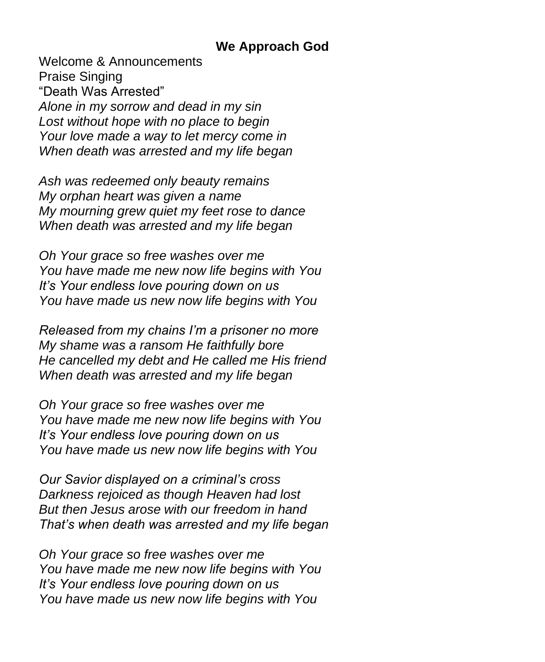### **We Approach God**

Welcome & Announcements Praise Singing "Death Was Arrested" *Alone in my sorrow and dead in my sin Lost without hope with no place to begin Your love made a way to let mercy come in When death was arrested and my life began*

*Ash was redeemed only beauty remains My orphan heart was given a name My mourning grew quiet my feet rose to dance When death was arrested and my life began*

*Oh Your grace so free washes over me You have made me new now life begins with You It's Your endless love pouring down on us You have made us new now life begins with You*

*Released from my chains I'm a prisoner no more My shame was a ransom He faithfully bore He cancelled my debt and He called me His friend When death was arrested and my life began*

*Oh Your grace so free washes over me You have made me new now life begins with You It's Your endless love pouring down on us You have made us new now life begins with You*

*Our Savior displayed on a criminal's cross Darkness rejoiced as though Heaven had lost But then Jesus arose with our freedom in hand That's when death was arrested and my life began*

*Oh Your grace so free washes over me You have made me new now life begins with You It's Your endless love pouring down on us You have made us new now life begins with You*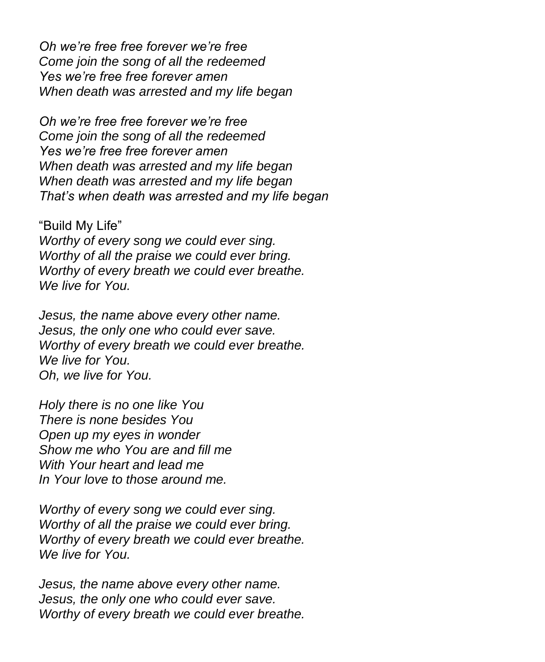*Oh we're free free forever we're free Come join the song of all the redeemed Yes we're free free forever amen When death was arrested and my life began*

*Oh we're free free forever we're free Come join the song of all the redeemed Yes we're free free forever amen When death was arrested and my life began When death was arrested and my life began That's when death was arrested and my life began*

"Build My Life"

*Worthy of every song we could ever sing. Worthy of all the praise we could ever bring. Worthy of every breath we could ever breathe. We live for You.*

*Jesus, the name above every other name. Jesus, the only one who could ever save. Worthy of every breath we could ever breathe. We live for You. Oh, we live for You.*

*Holy there is no one like You There is none besides You Open up my eyes in wonder Show me who You are and fill me With Your heart and lead me In Your love to those around me.*

*Worthy of every song we could ever sing. Worthy of all the praise we could ever bring. Worthy of every breath we could ever breathe. We live for You.*

*Jesus, the name above every other name. Jesus, the only one who could ever save. Worthy of every breath we could ever breathe.*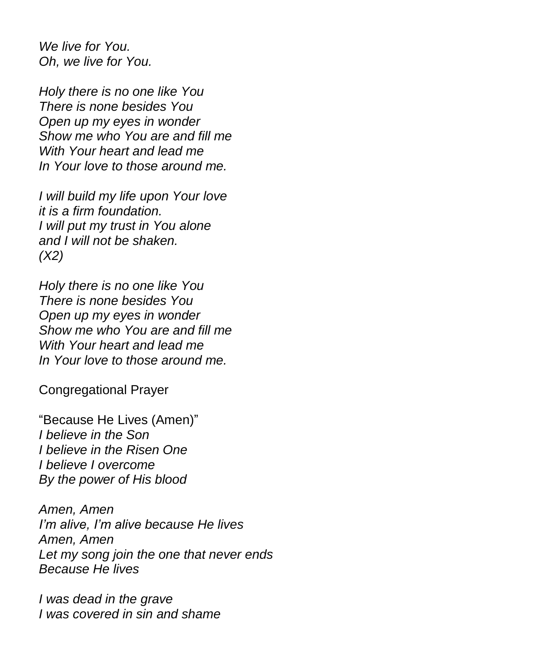*We live for You. Oh, we live for You.*

*Holy there is no one like You There is none besides You Open up my eyes in wonder Show me who You are and fill me With Your heart and lead me In Your love to those around me.* 

*I will build my life upon Your love it is a firm foundation. I will put my trust in You alone and I will not be shaken. (X2)*

*Holy there is no one like You There is none besides You Open up my eyes in wonder Show me who You are and fill me With Your heart and lead me In Your love to those around me.*

Congregational Prayer

"Because He Lives (Amen)" *I believe in the Son I believe in the Risen One I believe I overcome By the power of His blood*

*Amen, Amen I'm alive, I'm alive because He lives Amen, Amen Let my song join the one that never ends Because He lives*

*I was dead in the grave I was covered in sin and shame*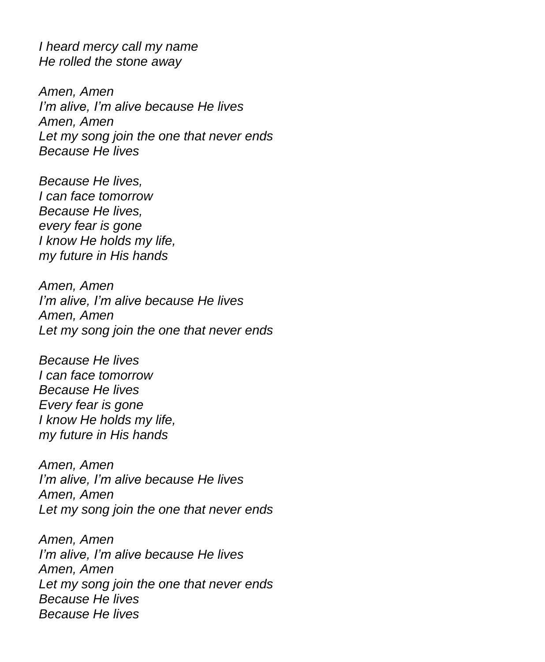*I heard mercy call my name He rolled the stone away*

*Amen, Amen I'm alive, I'm alive because He lives Amen, Amen Let my song join the one that never ends Because He lives*

*Because He lives, I can face tomorrow Because He lives, every fear is gone I know He holds my life, my future in His hands*

*Amen, Amen I'm alive, I'm alive because He lives Amen, Amen Let my song join the one that never ends*

*Because He lives I can face tomorrow Because He lives Every fear is gone I know He holds my life, my future in His hands*

*Amen, Amen I'm alive, I'm alive because He lives Amen, Amen Let my song join the one that never ends*

*Amen, Amen I'm alive, I'm alive because He lives Amen, Amen Let my song join the one that never ends Because He lives Because He lives*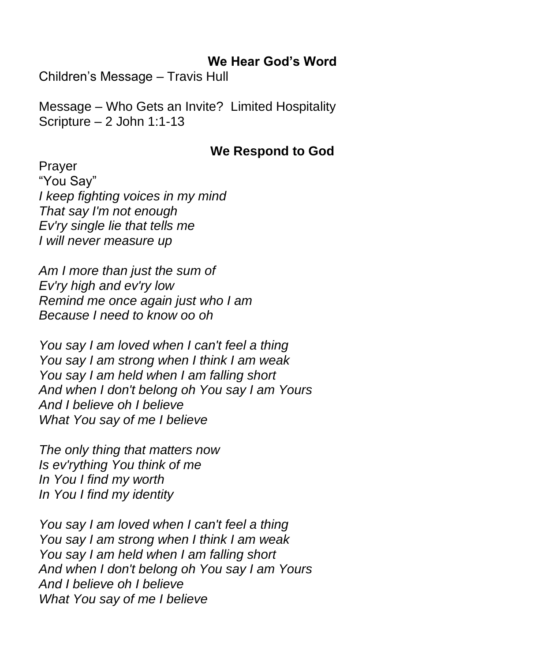#### **We Hear God's Word**

Children's Message – Travis Hull

Message – Who Gets an Invite? Limited Hospitality Scripture – 2 John 1:1-13

#### **We Respond to God**

Prayer "You Say" *I keep fighting voices in my mind That say I'm not enough Ev'ry single lie that tells me I will never measure up*

*Am I more than just the sum of Ev'ry high and ev'ry low Remind me once again just who I am Because I need to know oo oh*

*You say I am loved when I can't feel a thing You say I am strong when I think I am weak You say I am held when I am falling short And when I don't belong oh You say I am Yours And I believe oh I believe What You say of me I believe*

*The only thing that matters now Is ev'rything You think of me In You I find my worth In You I find my identity*

*You say I am loved when I can't feel a thing You say I am strong when I think I am weak You say I am held when I am falling short And when I don't belong oh You say I am Yours And I believe oh I believe What You say of me I believe*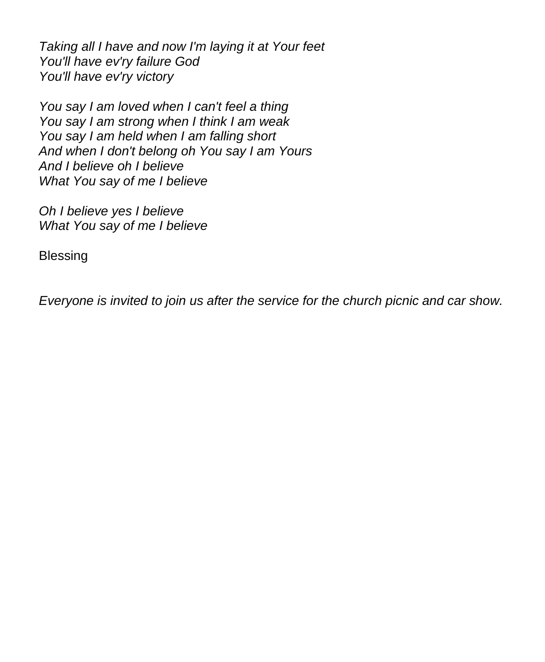*Taking all I have and now I'm laying it at Your feet You'll have ev'ry failure God You'll have ev'ry victory*

*You say I am loved when I can't feel a thing You say I am strong when I think I am weak You say I am held when I am falling short And when I don't belong oh You say I am Yours And I believe oh I believe What You say of me I believe*

*Oh I believe yes I believe What You say of me I believe*

Blessing

*Everyone is invited to join us after the service for the church picnic and car show.*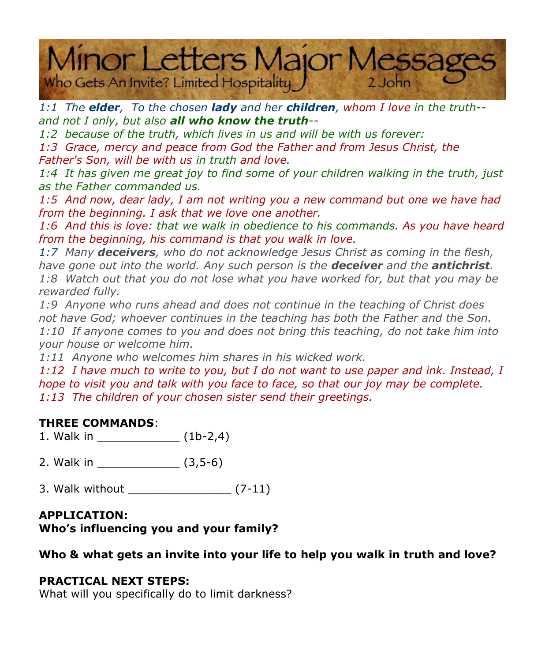

*1:1 The elder, To the chosen lady and her children, whom I love in the truth- and not I only, but also all who know the truth--*

*1:2 because of the truth, which lives in us and will be with us forever:*

*1:3 Grace, mercy and peace from God the Father and from Jesus Christ, the Father's Son, will be with us in truth and love.*

*1:4 It has given me great joy to find some of your children walking in the truth, just as the Father commanded us.*

*1:5 And now, dear lady, I am not writing you a new command but one we have had from the beginning. I ask that we love one another.*

*1:6 And this is love: that we walk in obedience to his commands. As you have heard from the beginning, his command is that you walk in love.*

*1:7 Many deceivers, who do not acknowledge Jesus Christ as coming in the flesh, have gone out into the world. Any such person is the deceiver and the antichrist. 1:8 Watch out that you do not lose what you have worked for, but that you may be rewarded fully.*

*1:9 Anyone who runs ahead and does not continue in the teaching of Christ does not have God; whoever continues in the teaching has both the Father and the Son. 1:10 If anyone comes to you and does not bring this teaching, do not take him into your house or welcome him.*

*1:11 Anyone who welcomes him shares in his wicked work.*

*1:12 I have much to write to you, but I do not want to use paper and ink. Instead, I hope to visit you and talk with you face to face, so that our joy may be complete. 1:13 The children of your chosen sister send their greetings.*

#### **THREE COMMANDS**:

1. Walk in \_\_\_\_\_\_\_\_\_\_\_\_ (1b-2,4)

2. Walk in \_\_\_\_\_\_\_\_\_\_\_\_ (3,5-6)

3. Walk without \_\_\_\_\_\_\_\_\_\_\_\_\_\_\_ (7-11)

#### **APPLICATION:**

**Who's influencing you and your family?**

#### **Who & what gets an invite into your life to help you walk in truth and love?**

#### **PRACTICAL NEXT STEPS:**

What will you specifically do to limit darkness?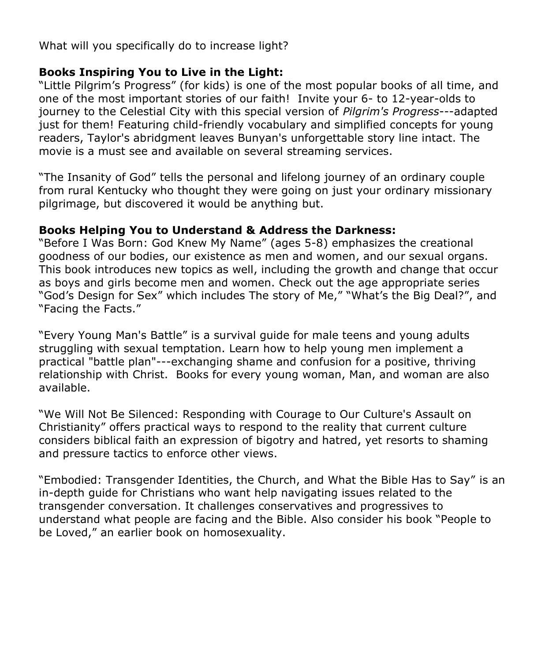What will you specifically do to increase light?

#### **Books Inspiring You to Live in the Light:**

"Little Pilgrim's Progress" (for kids) is one of the most popular books of all time, and one of the most important stories of our faith! Invite your 6- to 12-year-olds to journey to the Celestial City with this special version of *Pilgrim's Progress*---adapted just for them! Featuring child-friendly vocabulary and simplified concepts for young readers, Taylor's abridgment leaves Bunyan's unforgettable story line intact. The movie is a must see and available on several streaming services.

"The Insanity of God" tells the personal and lifelong journey of an ordinary couple from rural Kentucky who thought they were going on just your ordinary missionary pilgrimage, but discovered it would be anything but.

#### **Books Helping You to Understand & Address the Darkness:**

"Before I Was Born: God Knew My Name" (ages 5-8) emphasizes the creational goodness of our bodies, our existence as men and women, and our sexual organs. This book introduces new topics as well, including the growth and change that occur as boys and girls become men and women. Check out the age appropriate series "God's Design for Sex" which includes The story of Me," "What's the Big Deal?", and "Facing the Facts."

"Every Young Man's Battle" is a survival guide for male teens and young adults struggling with sexual temptation. Learn how to help young men implement a practical "battle plan"---exchanging shame and confusion for a positive, thriving relationship with Christ. Books for every young woman, Man, and woman are also available.

"We Will Not Be Silenced: Responding with Courage to Our Culture's Assault on Christianity" offers practical ways to respond to the reality that current culture considers biblical faith an expression of bigotry and hatred, yet resorts to shaming and pressure tactics to enforce other views.

"Embodied: Transgender Identities, the Church, and What the Bible Has to Say" is an in-depth guide for Christians who want help navigating issues related to the transgender conversation. It challenges conservatives and progressives to understand what people are facing and the Bible. Also consider his book "People to be Loved," an earlier book on homosexuality.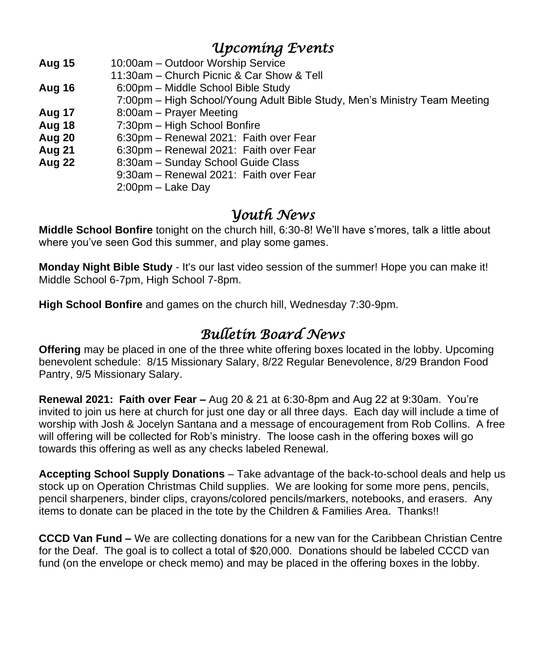## *Upcoming Events*

- **Aug 15** 10:00am Outdoor Worship Service
	- 11:30am Church Picnic & Car Show & Tell
- **Aug 16** 6:00pm Middle School Bible Study
- 7:00pm High School/Young Adult Bible Study, Men's Ministry Team Meeting
- **Aug 17** 8:00am Prayer Meeting
- **Aug 18** 7:30pm High School Bonfire
- **Aug 20** 6:30pm Renewal 2021: Faith over Fear
- **Aug 21** 6:30pm Renewal 2021: Faith over Fear
- **Aug 22** 8:30am Sunday School Guide Class
	- 9:30am Renewal 2021: Faith over Fear
		- 2:00pm Lake Day

### *Youth News*

**Middle School Bonfire** tonight on the church hill, 6:30-8! We'll have s'mores, talk a little about where you've seen God this summer, and play some games.

**Monday Night Bible Study** - It's our last video session of the summer! Hope you can make it! Middle School 6-7pm, High School 7-8pm.

**High School Bonfire** and games on the church hill, Wednesday 7:30-9pm.

# *Bulletin Board News*

**Offering** may be placed in one of the three white offering boxes located in the lobby. Upcoming benevolent schedule: 8/15 Missionary Salary, 8/22 Regular Benevolence, 8/29 Brandon Food Pantry, 9/5 Missionary Salary.

**Renewal 2021: Faith over Fear –** Aug 20 & 21 at 6:30-8pm and Aug 22 at 9:30am. You're invited to join us here at church for just one day or all three days. Each day will include a time of worship with Josh & Jocelyn Santana and a message of encouragement from Rob Collins. A free will offering will be collected for Rob's ministry. The loose cash in the offering boxes will go towards this offering as well as any checks labeled Renewal.

**Accepting School Supply Donations** – Take advantage of the back-to-school deals and help us stock up on Operation Christmas Child supplies. We are looking for some more pens, pencils, pencil sharpeners, binder clips, crayons/colored pencils/markers, notebooks, and erasers. Any items to donate can be placed in the tote by the Children & Families Area. Thanks!!

**CCCD Van Fund –** We are collecting donations for a new van for the Caribbean Christian Centre for the Deaf. The goal is to collect a total of \$20,000. Donations should be labeled CCCD van fund (on the envelope or check memo) and may be placed in the offering boxes in the lobby.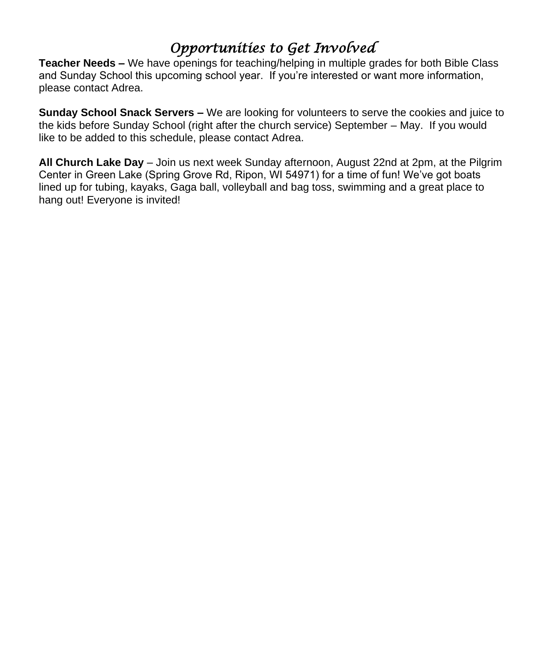# *Opportunities to Get Involved*

**Teacher Needs –** We have openings for teaching/helping in multiple grades for both Bible Class and Sunday School this upcoming school year. If you're interested or want more information, please contact Adrea.

**Sunday School Snack Servers –** We are looking for volunteers to serve the cookies and juice to the kids before Sunday School (right after the church service) September – May. If you would like to be added to this schedule, please contact Adrea.

**All Church Lake Day** – Join us next week Sunday afternoon, August 22nd at 2pm, at the Pilgrim Center in Green Lake (Spring Grove Rd, Ripon, WI 54971) for a time of fun! We've got boats lined up for tubing, kayaks, Gaga ball, volleyball and bag toss, swimming and a great place to hang out! Everyone is invited!